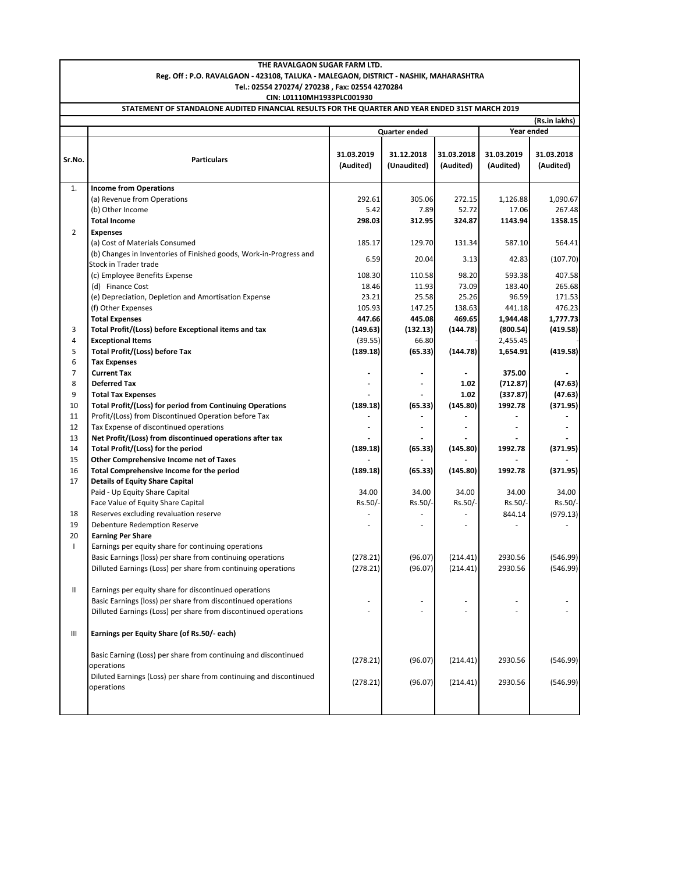|                                                                                                  | THE RAVALGAON SUGAR FARM LTD.                                                          |               |                          |            |                      |                    |  |  |  |
|--------------------------------------------------------------------------------------------------|----------------------------------------------------------------------------------------|---------------|--------------------------|------------|----------------------|--------------------|--|--|--|
| Reg. Off : P.O. RAVALGAON - 423108, TALUKA - MALEGAON, DISTRICT - NASHIK, MAHARASHTRA            |                                                                                        |               |                          |            |                      |                    |  |  |  |
| Tel.: 02554 270274/270238, Fax: 02554 4270284                                                    |                                                                                        |               |                          |            |                      |                    |  |  |  |
| CIN: L01110MH1933PLC001930                                                                       |                                                                                        |               |                          |            |                      |                    |  |  |  |
| STATEMENT OF STANDALONE AUDITED FINANCIAL RESULTS FOR THE QUARTER AND YEAR ENDED 31ST MARCH 2019 |                                                                                        |               |                          |            |                      |                    |  |  |  |
|                                                                                                  |                                                                                        |               |                          |            | Year ended           | (Rs.in lakhs)      |  |  |  |
|                                                                                                  |                                                                                        | Quarter ended |                          |            |                      |                    |  |  |  |
|                                                                                                  |                                                                                        | 31.03.2019    | 31.12.2018               | 31.03.2018 | 31.03.2019           | 31.03.2018         |  |  |  |
| Sr.No.                                                                                           | <b>Particulars</b>                                                                     | (Audited)     | (Unaudited)              | (Audited)  | (Audited)            | (Audited)          |  |  |  |
|                                                                                                  |                                                                                        |               |                          |            |                      |                    |  |  |  |
| 1.                                                                                               | <b>Income from Operations</b>                                                          |               |                          |            |                      |                    |  |  |  |
|                                                                                                  | (a) Revenue from Operations                                                            | 292.61        | 305.06                   | 272.15     | 1,126.88             | 1,090.67           |  |  |  |
|                                                                                                  | (b) Other Income                                                                       | 5.42          | 7.89                     | 52.72      | 17.06                | 267.48             |  |  |  |
|                                                                                                  | <b>Total Income</b>                                                                    | 298.03        | 312.95                   | 324.87     | 1143.94              | 1358.15            |  |  |  |
| $\overline{2}$                                                                                   | <b>Expenses</b>                                                                        |               |                          |            |                      |                    |  |  |  |
|                                                                                                  | (a) Cost of Materials Consumed                                                         | 185.17        | 129.70                   | 131.34     | 587.10               | 564.41             |  |  |  |
|                                                                                                  | (b) Changes in Inventories of Finished goods, Work-in-Progress and                     | 6.59          | 20.04                    | 3.13       | 42.83                | (107.70)           |  |  |  |
|                                                                                                  | Stock in Trader trade                                                                  |               |                          |            |                      |                    |  |  |  |
|                                                                                                  | (c) Employee Benefits Expense                                                          | 108.30        | 110.58                   | 98.20      | 593.38               | 407.58             |  |  |  |
|                                                                                                  | (d) Finance Cost                                                                       | 18.46         | 11.93                    | 73.09      | 183.40               | 265.68             |  |  |  |
|                                                                                                  | (e) Depreciation, Depletion and Amortisation Expense                                   | 23.21         | 25.58                    | 25.26      | 96.59                | 171.53             |  |  |  |
|                                                                                                  | (f) Other Expenses                                                                     | 105.93        | 147.25                   | 138.63     | 441.18               | 476.23             |  |  |  |
|                                                                                                  | <b>Total Expenses</b>                                                                  | 447.66        | 445.08                   | 469.65     | 1,944.48             | 1,777.73           |  |  |  |
| 3                                                                                                | Total Profit/(Loss) before Exceptional items and tax                                   | (149.63)      | (132.13)                 | (144.78)   | (800.54)             | (419.58)           |  |  |  |
| 4                                                                                                | <b>Exceptional Items</b>                                                               | (39.55)       | 66.80                    |            | 2,455.45             |                    |  |  |  |
| 5                                                                                                | <b>Total Profit/(Loss) before Tax</b>                                                  | (189.18)      | (65.33)                  | (144.78)   | 1,654.91             | (419.58)           |  |  |  |
| 6<br>$\overline{7}$                                                                              | <b>Tax Expenses</b>                                                                    |               |                          |            |                      |                    |  |  |  |
| 8                                                                                                | <b>Current Tax</b><br><b>Deferred Tax</b>                                              |               | $\overline{\phantom{a}}$ | 1.02       | 375.00               |                    |  |  |  |
| 9                                                                                                |                                                                                        |               |                          | 1.02       | (712.87)<br>(337.87) | (47.63)<br>(47.63) |  |  |  |
| 10                                                                                               | <b>Total Tax Expenses</b><br>Total Profit/(Loss) for period from Continuing Operations | (189.18)      | (65.33)                  | (145.80)   | 1992.78              | (371.95)           |  |  |  |
| 11                                                                                               | Profit/(Loss) from Discontinued Operation before Tax                                   |               |                          |            |                      |                    |  |  |  |
| 12                                                                                               | Tax Expense of discontinued operations                                                 | ٠             | ٠                        |            |                      |                    |  |  |  |
| 13                                                                                               | Net Profit/(Loss) from discontinued operations after tax                               |               |                          |            |                      |                    |  |  |  |
| 14                                                                                               | Total Profit/(Loss) for the period                                                     | (189.18)      | (65.33)                  | (145.80)   | 1992.78              | (371.95)           |  |  |  |
| 15                                                                                               | Other Comprehensive Income net of Taxes                                                |               |                          |            |                      |                    |  |  |  |
| 16                                                                                               | Total Comprehensive Income for the period                                              | (189.18)      | (65.33)                  | (145.80)   | 1992.78              | (371.95)           |  |  |  |
| 17                                                                                               | <b>Details of Equity Share Capital</b>                                                 |               |                          |            |                      |                    |  |  |  |
|                                                                                                  | Paid - Up Equity Share Capital                                                         | 34.00         | 34.00                    | 34.00      | 34.00                | 34.00              |  |  |  |
|                                                                                                  | Face Value of Equity Share Capital                                                     | Rs.50/-       | Rs.50/-                  | Rs.50/-    | Rs.50/-              | Rs.50/-            |  |  |  |
| 18                                                                                               | Reserves excluding revaluation reserve                                                 |               |                          |            | 844.14               | (979.13)           |  |  |  |
| 19                                                                                               | Debenture Redemption Reserve                                                           |               |                          |            |                      |                    |  |  |  |
| 20                                                                                               | <b>Earning Per Share</b>                                                               |               |                          |            |                      |                    |  |  |  |
| $\mathbf{I}$                                                                                     | Earnings per equity share for continuing operations                                    |               |                          |            |                      |                    |  |  |  |
|                                                                                                  | Basic Earnings (loss) per share from continuing operations                             | (278.21)      | (96.07)                  | (214.41)   | 2930.56              | (546.99)           |  |  |  |
|                                                                                                  | Dilluted Earnings (Loss) per share from continuing operations                          | (278.21)      | (96.07)                  | (214.41)   | 2930.56              | (546.99)           |  |  |  |
|                                                                                                  |                                                                                        |               |                          |            |                      |                    |  |  |  |
| Ш                                                                                                | Earnings per equity share for discontinued operations                                  |               |                          |            |                      |                    |  |  |  |
|                                                                                                  | Basic Earnings (loss) per share from discontinued operations                           | ٠             |                          |            |                      |                    |  |  |  |
|                                                                                                  | Dilluted Earnings (Loss) per share from discontinued operations                        |               |                          |            |                      |                    |  |  |  |
|                                                                                                  |                                                                                        |               |                          |            |                      |                    |  |  |  |
| Ш                                                                                                | Earnings per Equity Share (of Rs.50/- each)                                            |               |                          |            |                      |                    |  |  |  |
|                                                                                                  |                                                                                        |               |                          |            |                      |                    |  |  |  |
|                                                                                                  | Basic Earning (Loss) per share from continuing and discontinued                        | (278.21)      | (96.07)                  | (214.41)   | 2930.56              | (546.99)           |  |  |  |
|                                                                                                  | operations<br>Diluted Earnings (Loss) per share from continuing and discontinued       |               |                          |            |                      |                    |  |  |  |
|                                                                                                  | operations                                                                             | (278.21)      | (96.07)                  | (214.41)   | 2930.56              | (546.99)           |  |  |  |
|                                                                                                  |                                                                                        |               |                          |            |                      |                    |  |  |  |
|                                                                                                  |                                                                                        |               |                          |            |                      |                    |  |  |  |
|                                                                                                  |                                                                                        |               |                          |            |                      |                    |  |  |  |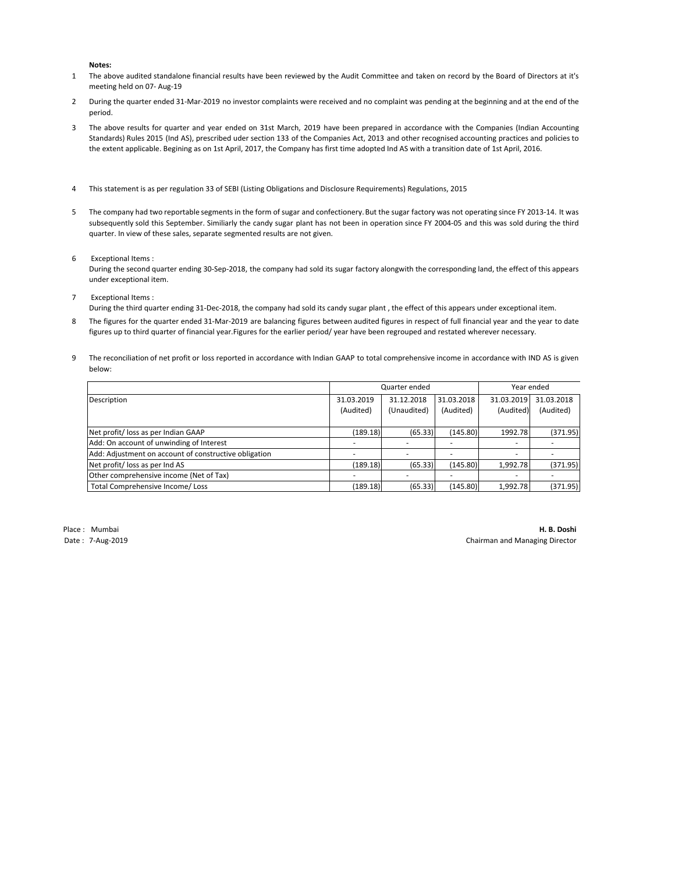**Notes:**

- 1 The above audited standalone financial results have been reviewed by the Audit Committee and taken on record by the Board of Directors at it's meeting held on 07- Aug-19
- 2 During the quarter ended 31-Mar-2019 no investor complaints were received and no complaint was pending at the beginning and at the end of the period.
- 3 The above results for quarter and year ended on 31st March, 2019 have been prepared in accordance with the Companies (Indian Accounting Standards) Rules 2015 (Ind AS), prescribed uder section 133 of the Companies Act, 2013 and other recognised accounting practices and policies to the extent applicable. Begining as on 1st April, 2017, the Company has first time adopted Ind AS with a transition date of 1st April, 2016.
- 4 This statement is as per regulation 33 of SEBI (Listing Obligations and Disclosure Requirements) Regulations, 2015
- 5 The company had two reportable segments in the form of sugar and confectionery. But the sugar factory was not operating since FY 2013-14. It was subsequently sold this September. Similiarly the candy sugar plant has not been in operation since FY 2004-05 and this was sold during the third quarter. In view of these sales, separate segmented results are not given.
- 6 Exceptional Items :
	- During the second quarter ending 30-Sep-2018, the company had sold its sugar factory alongwith the corresponding land, the effect of this appears under exceptional item.
- 7 Exceptional Items :

During the third quarter ending 31-Dec-2018, the company had sold its candy sugar plant , the effect of this appears under exceptional item.

- 8 The figures for the quarter ended 31-Mar-2019 are balancing figures between audited figures in respect of full financial year and the year to date figures up to third quarter of financial year.Figures for the earlier period/ year have been regrouped and restated wherever necessary.
- 9 The reconciliation of net profit or loss reported in accordance with Indian GAAP to total comprehensive income in accordance with IND AS is given below:

|                                                       | Quarter ended |             |            | Year ended |            |
|-------------------------------------------------------|---------------|-------------|------------|------------|------------|
| Description                                           | 31.03.2019    | 31.12.2018  | 31.03.2018 | 31.03.2019 | 31.03.2018 |
|                                                       | (Audited)     | (Unaudited) | (Audited)  | (Audited)  | (Audited)  |
|                                                       |               |             |            |            |            |
| Net profit/loss as per Indian GAAP                    | (189.18)      | (65.33)     | (145.80)   | 1992.78    | (371.95)   |
| Add: On account of unwinding of Interest              |               |             |            |            |            |
| Add: Adjustment on account of constructive obligation |               |             |            |            |            |
| Net profit/loss as per Ind AS                         | (189.18)      | (65.33)     | (145.80)   | 1,992.78   | (371.95)   |
| Other comprehensive income (Net of Tax)               |               |             |            | ۰.         |            |
| Total Comprehensive Income/Loss                       | (189.18)      | (65.33)     | (145.80)   | 1,992.78   | (371.95)   |

Place : Mumbai **H. B. Doshi** Date : 7-Aug-2019 Chairman and Managing Director